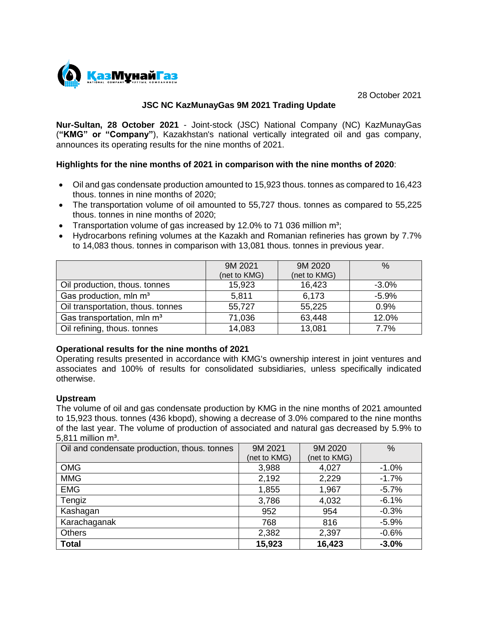

28 October 2021

## **JSC NC KazMunayGas 9M 2021 Trading Update**

**Nur-Sultan, 28 October 2021** - Joint-stock (JSC) National Company (NC) KazMunayGas (**"KMG" or "Company"**), Kazakhstan's national vertically integrated oil and gas company, announces its operating results for the nine months of 2021.

### **Highlights for the nine months of 2021 in comparison with the nine months of 2020**:

- Oil and gas condensate production amounted to 15,923 thous. tonnes as compared to 16,423 thous. tonnes in nine months of 2020;
- The transportation volume of oil amounted to 55,727 thous. tonnes as compared to 55,225 thous. tonnes in nine months of 2020;
- Transportation volume of gas increased by 12.0% to 71 036 million  $m^3$ ;
- Hydrocarbons refining volumes at the Kazakh and Romanian refineries has grown by 7.7% to 14,083 thous. tonnes in comparison with 13,081 thous. tonnes in previous year.

|                                        | 9M 2021      | 9M 2020      | $\%$    |
|----------------------------------------|--------------|--------------|---------|
|                                        | (net to KMG) | (net to KMG) |         |
| Oil production, thous. tonnes          | 15,923       | 16,423       | $-3.0%$ |
| Gas production, mln m <sup>3</sup>     | 5,811        | 6,173        | $-5.9%$ |
| Oil transportation, thous. tonnes      | 55,727       | 55,225       | 0.9%    |
| Gas transportation, mln m <sup>3</sup> | 71,036       | 63,448       | 12.0%   |
| Oil refining, thous. tonnes            | 14,083       | 13,081       | 7.7%    |

### **Operational results for the nine months of 2021**

Operating results presented in accordance with KMG's ownership interest in joint ventures and associates and 100% of results for consolidated subsidiaries, unless specifically indicated otherwise.

### **Upstream**

The volume of oil and gas condensate production by KMG in the nine months of 2021 amounted to 15,923 thous. tonnes (436 kbopd), showing a decrease of 3.0% compared to the nine months of the last year. The volume of production of associated and natural gas decreased by 5.9% to 5,811 million  $m^3$ .

| Oil and condensate production, thous. tonnes | 9M 2021      | 9M 2020      | $\frac{0}{0}$ |
|----------------------------------------------|--------------|--------------|---------------|
|                                              | (net to KMG) | (net to KMG) |               |
| <b>OMG</b>                                   | 3,988        | 4,027        | $-1.0%$       |
| <b>MMG</b>                                   | 2,192        | 2,229        | $-1.7%$       |
| <b>EMG</b>                                   | 1,855        | 1,967        | $-5.7%$       |
| Tengiz                                       | 3,786        | 4,032        | $-6.1%$       |
| Kashagan                                     | 952          | 954          | $-0.3%$       |
| Karachaganak                                 | 768          | 816          | $-5.9%$       |
| <b>Others</b>                                | 2,382        | 2,397        | $-0.6%$       |
| <b>Total</b>                                 | 15,923       | 16,423       | $-3.0%$       |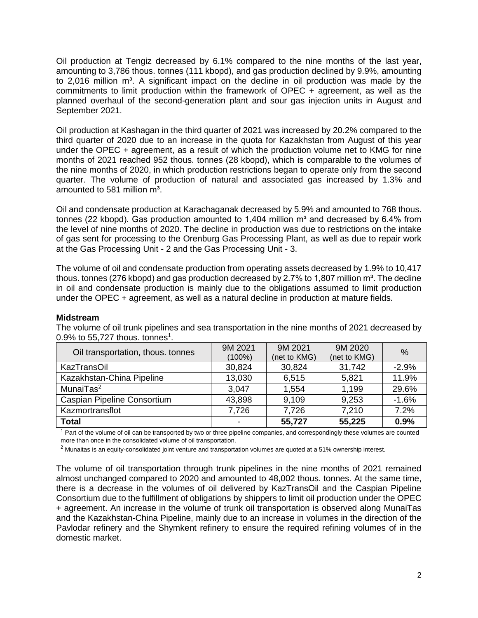Oil production at Tengiz decreased by 6.1% compared to the nine months of the last year, amounting to 3,786 thous. tonnes (111 kbopd), and gas production declined by 9.9%, amounting to 2,016 million  $m<sup>3</sup>$ . A significant impact on the decline in oil production was made by the commitments to limit production within the framework of OPEC + agreement, as well as the planned overhaul of the second-generation plant and sour gas injection units in August and September 2021.

Oil production at Kashagan in the third quarter of 2021 was increased by 20.2% compared to the third quarter of 2020 due to an increase in the quota for Kazakhstan from August of this year under the OPEC + agreement, as a result of which the production volume net to KMG for nine months of 2021 reached 952 thous. tonnes (28 kbopd), which is comparable to the volumes of the nine months of 2020, in which production restrictions began to operate only from the second quarter. The volume of production of natural and associated gas increased by 1.3% and amounted to 581 million m<sup>3</sup>.

Oil and condensate production at Karachaganak decreased by 5.9% and amounted to 768 thous. tonnes (22 kbopd). Gas production amounted to 1,404 million  $m<sup>3</sup>$  and decreased by 6.4% from the level of nine months of 2020. The decline in production was due to restrictions on the intake of gas sent for processing to the Orenburg Gas Processing Plant, as well as due to repair work at the Gas Processing Unit - 2 and the Gas Processing Unit - 3.

The volume of oil and condensate production from operating assets decreased by 1.9% to 10,417 thous. tonnes (276 kbopd) and gas production decreased by 2.7% to 1,807 million  $m<sup>3</sup>$ . The decline in oil and condensate production is mainly due to the obligations assumed to limit production under the OPEC + agreement, as well as a natural decline in production at mature fields.

### **Midstream**

The volume of oil trunk pipelines and sea transportation in the nine months of 2021 decreased by 0.9% to 55,727 thous. tonnes<sup>1</sup>.

| Oil transportation, thous. tonnes | 9M 2021<br>$(100\%)$ | 9M 2021<br>(net to KMG) | 9M 2020<br>(net to KMG) | $\%$    |
|-----------------------------------|----------------------|-------------------------|-------------------------|---------|
|                                   |                      |                         |                         |         |
| <b>KazTransOil</b>                | 30,824               | 30,824                  | 31,742                  | $-2.9%$ |
| Kazakhstan-China Pipeline         | 13,030               | 6,515                   | 5,821                   | 11.9%   |
| MunaiTas <sup>2</sup>             | 3,047                | 1,554                   | 1,199                   | 29.6%   |
| Caspian Pipeline Consortium       | 43,898               | 9,109                   | 9,253                   | $-1.6%$ |
| Kazmortransflot                   | 7,726                | 7,726                   | 7,210                   | 7.2%    |
| <b>Total</b>                      |                      | 55,727                  | 55,225                  | 0.9%    |

 $1$  Part of the volume of oil can be transported by two or three pipeline companies, and correspondingly these volumes are counted more than once in the consolidated volume of oil transportation.

 $2$  Munaitas is an equity-consolidated joint venture and transportation volumes are quoted at a 51% ownership interest.

The volume of oil transportation through trunk pipelines in the nine months of 2021 remained almost unchanged compared to 2020 and amounted to 48,002 thous. tonnes. At the same time, there is a decrease in the volumes of oil delivered by KazTransOil and the Caspian Pipeline Consortium due to the fulfillment of obligations by shippers to limit oil production under the OPEC + agreement. An increase in the volume of trunk oil transportation is observed along MunaiTas and the Kazakhstan-China Pipeline, mainly due to an increase in volumes in the direction of the Pavlodar refinery and the Shymkent refinery to ensure the required refining volumes of in the domestic market.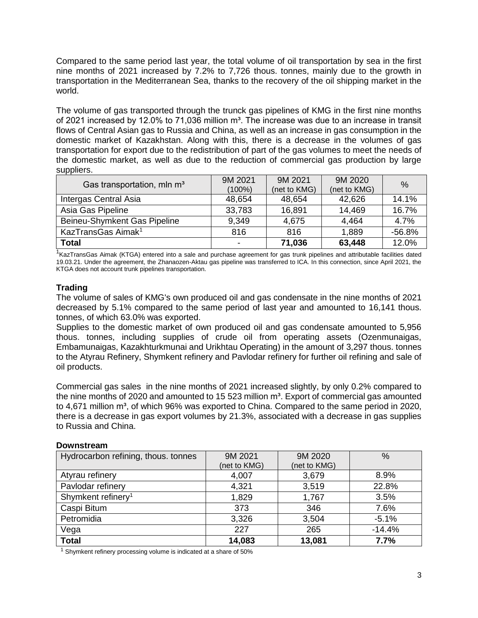Compared to the same period last year, the total volume of oil transportation by sea in the first nine months of 2021 increased by 7.2% to 7,726 thous. tonnes, mainly due to the growth in transportation in the Mediterranean Sea, thanks to the recovery of the oil shipping market in the world.

The volume of gas transported through the trunck gas pipelines of KMG in the first nine months of 2021 increased by 12.0% to 71,036 million  $m<sup>3</sup>$ . The increase was due to an increase in transit flows of Central Asian gas to Russia and China, as well as an increase in gas consumption in the domestic market of Kazakhstan. Along with this, there is a decrease in the volumes of gas transportation for export due to the redistribution of part of the gas volumes to meet the needs of the domestic market, as well as due to the reduction of commercial gas production by large suppliers.

| Gas transportation, mln m <sup>3</sup> | 9M 2021 | 9M 2021      | 9M 2020      | $\%$     |
|----------------------------------------|---------|--------------|--------------|----------|
|                                        | (100%)  | (net to KMG) | (net to KMG) |          |
| Intergas Central Asia                  | 48,654  | 48,654       | 42,626       | 14.1%    |
| Asia Gas Pipeline                      | 33,783  | 16,891       | 14.469       | 16.7%    |
| Beineu-Shymkent Gas Pipeline           | 9,349   | 4,675        | 4,464        | 4.7%     |
| KazTransGas Aimak <sup>1</sup>         | 816     | 816          | 1,889        | $-56.8%$ |
| <b>Total</b>                           |         | 71,036       | 63,448       | 12.0%    |

<sup>1</sup>KazTransGas Aimak (KTGA) entered into a sale and purchase agreement for gas trunk pipelines and attributable facilities dated 19.03.21. Under the agreement, the Zhanaozen-Aktau gas pipeline was transferred to ICA. In this connection, since April 2021, the KTGA does not account trunk pipelines transportation.

# **Trading**

The volume of sales of KMG's own produced oil and gas condensate in the nine months of 2021 decreased by 5.1% compared to the same period of last year and amounted to 16,141 thous. tonnes, of which 63.0% was exported.

Supplies to the domestic market of own produced oil and gas condensate amounted to 5,956 thous. tonnes, including supplies of crude oil from operating assets (Ozenmunaigas, Embamunaigas, Kazakhturkmunai and Urikhtau Operating) in the amount of 3,297 thous. tonnes to the Atyrau Refinery, Shymkent refinery and Pavlodar refinery for further oil refining and sale of oil products.

Commercial gas sales in the nine months of 2021 increased slightly, by only 0.2% compared to the nine months of 2020 and amounted to 15 523 million  $m<sup>3</sup>$ . Export of commercial gas amounted to 4,671 million m<sup>3</sup>, of which 96% was exported to China. Compared to the same period in 2020, there is a decrease in gas export volumes by 21.3%, associated with a decrease in gas supplies to Russia and China.

#### **Downstream**

| Hydrocarbon refining, thous. tonnes | 9M 2021      | 9M 2020      | $\%$     |
|-------------------------------------|--------------|--------------|----------|
|                                     | (net to KMG) | (net to KMG) |          |
| Atyrau refinery                     | 4,007        | 3,679        | 8.9%     |
| Pavlodar refinery                   | 4,321        | 3,519        | 22.8%    |
| Shymkent refinery <sup>1</sup>      | 1,829        | 1,767        | 3.5%     |
| Caspi Bitum                         | 373          | 346          | 7.6%     |
| Petromidia                          | 3,326        | 3,504        | $-5.1%$  |
| Vega                                | 227          | 265          | $-14.4%$ |
| <b>Total</b>                        | 14,083       | 13,081       | 7.7%     |

 $1$  Shymkent refinery processing volume is indicated at a share of 50%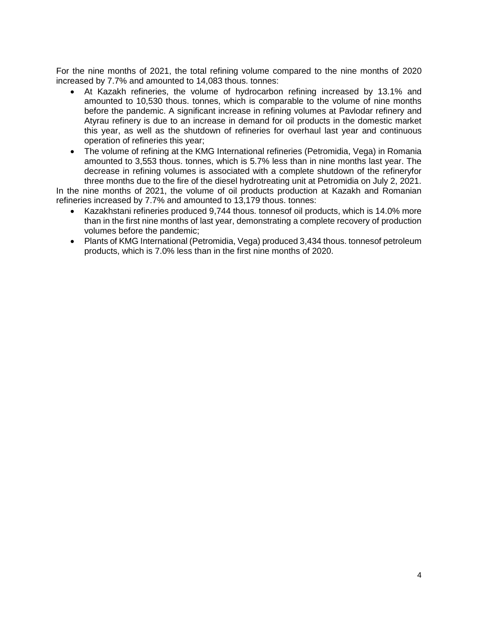For the nine months of 2021, the total refining volume compared to the nine months of 2020 increased by 7.7% and amounted to 14,083 thous. tonnes:

- At Kazakh refineries, the volume of hydrocarbon refining increased by 13.1% and amounted to 10,530 thous. tonnes, which is comparable to the volume of nine months before the pandemic. A significant increase in refining volumes at Pavlodar refinery and Atyrau refinery is due to an increase in demand for oil products in the domestic market this year, as well as the shutdown of refineries for overhaul last year and continuous operation of refineries this year;
- The volume of refining at the KMG International refineries (Petromidia, Vega) in Romania amounted to 3,553 thous. tonnes, which is 5.7% less than in nine months last year. The decrease in refining volumes is associated with a complete shutdown of the refineryfor three months due to the fire of the diesel hydrotreating unit at Petromidia on July 2, 2021.

In the nine months of 2021, the volume of oil products production at Kazakh and Romanian refineries increased by 7.7% and amounted to 13,179 thous. tonnes:

- Kazakhstani refineries produced 9,744 thous. tonnesof oil products, which is 14.0% more than in the first nine months of last year, demonstrating a complete recovery of production volumes before the pandemic;
- Plants of KMG International (Petromidia, Vega) produced 3,434 thous. tonnesof petroleum products, which is 7.0% less than in the first nine months of 2020.